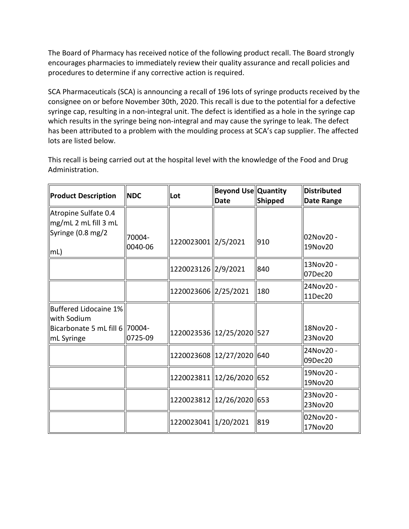The Board of Pharmacy has received notice of the following product recall. The Board strongly encourages pharmacies to immediately review their quality assurance and recall policies and procedures to determine if any corrective action is required.

 SCA Pharmaceuticals (SCA) is announcing a recall of 196 lots of syringe products received by the consignee on or before November 30th, 2020. This recall is due to the potential for a defective syringe cap, resulting in a non-integral unit. The defect is identified as a hole in the syringe cap which results in the syringe being non-integral and may cause the syringe to leak. The defect has been attributed to a problem with the moulding process at SCA's cap supplier. The affected lots are listed below.

This recall is being carried out at the hospital level with the knowledge of the Food and Drug Administration.

| <b>Product Description</b>                     | <b>NDC</b>        | Lot                       | <b>Beyond Use Quantity</b><br><b>Date</b> | Shipped | <b>Distributed</b><br><b>Date Range</b> |
|------------------------------------------------|-------------------|---------------------------|-------------------------------------------|---------|-----------------------------------------|
| Atropine Sulfate 0.4<br>$mg/mL$ 2 mL fill 3 mL |                   |                           |                                           |         |                                         |
| Syringe (0.8 mg/2<br> mL)                      | 70004-<br>0040-06 | 1220023001 2/5/2021       |                                           | 910     | 02Nov20 -<br>19Nov20                    |
|                                                |                   | 1220023126 2/9/2021       |                                           | 840     | 13Nov20 -<br>07Dec20                    |
|                                                |                   | 1220023606 2/25/2021      |                                           | 180     | 24Nov20 -<br>11Dec20                    |
| Buffered Lidocaine 1%<br>with Sodium           |                   |                           |                                           |         |                                         |
| Bicarbonate 5 mL fill 6 70004-<br>mL Syringe   | 0725-09           | 1220023536 12/25/2020 527 |                                           |         | 18Nov20 -<br>23Nov20                    |
|                                                |                   | 1220023608 12/27/2020 640 |                                           |         | 24Nov20 -<br>09Dec20                    |
|                                                |                   | 1220023811 12/26/2020 652 |                                           |         | 19Nov20 -<br>19Nov20                    |
|                                                |                   | 1220023812 12/26/2020 653 |                                           |         | 23Nov20 -<br>23Nov20                    |
|                                                |                   | 1220023041 1/20/2021      |                                           | 819     | 02Nov20 -<br>17Nov20                    |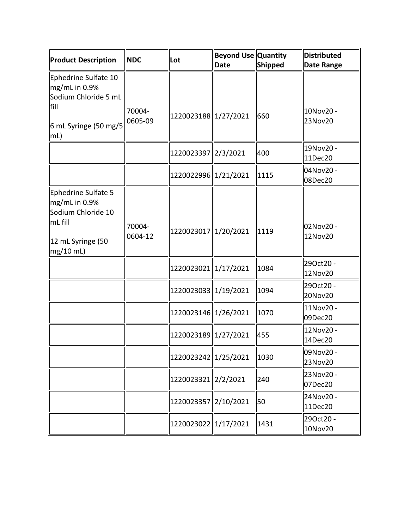| Product Description                                                                                            | <b>NDC</b>        | Lot                  | <b>Beyond Use Quantity</b><br><b>Date</b> | Shipped | <b>Distributed</b><br><b>Date Range</b> |
|----------------------------------------------------------------------------------------------------------------|-------------------|----------------------|-------------------------------------------|---------|-----------------------------------------|
| Ephedrine Sulfate 10<br>mg/mL in 0.9%<br>Sodium Chloride 5 mL<br>fill<br>6 mL Syringe (50 mg/5<br>mL)          | 70004-<br>0605-09 | 1220023188 1/27/2021 |                                           | 660     | 10Nov20 -<br>23Nov20                    |
|                                                                                                                |                   | 1220023397 2/3/2021  |                                           | 400     | 19Nov20 -<br>11Dec20                    |
|                                                                                                                |                   | 1220022996 1/21/2021 |                                           | 1115    | 04Nov20 -<br>08Dec20                    |
| Ephedrine Sulfate 5<br>mg/mL in 0.9%<br>Sodium Chloride 10<br>$\ln L$ fill<br>12 mL Syringe (50<br>$mg/10$ mL) | 70004-<br>0604-12 | 1220023017 1/20/2021 |                                           | 1119    | 02Nov20 -<br>12Nov20                    |
|                                                                                                                |                   | 1220023021 1/17/2021 |                                           | 1084    | 29Oct20 -<br>12Nov20                    |
|                                                                                                                |                   | 1220023033 1/19/2021 |                                           | 1094    | 29Oct20 -<br>20Nov20                    |
|                                                                                                                |                   | 1220023146 1/26/2021 |                                           | 1070    | 11Nov20 -<br>09Dec20                    |
|                                                                                                                |                   | 1220023189 1/27/2021 |                                           | 455     | 12Nov20 -<br>14Dec20                    |
|                                                                                                                |                   | 1220023242 1/25/2021 |                                           | 1030    | 09Nov20 -<br>23Nov20                    |
|                                                                                                                |                   | 1220023321 2/2/2021  |                                           | 240     | 23Nov20 -<br>07Dec20                    |
|                                                                                                                |                   | 1220023357 2/10/2021 |                                           | 50      | 24Nov20 -<br>11Dec20                    |
|                                                                                                                |                   | 1220023022 1/17/2021 |                                           | 1431    | 29Oct20 -<br>10Nov20                    |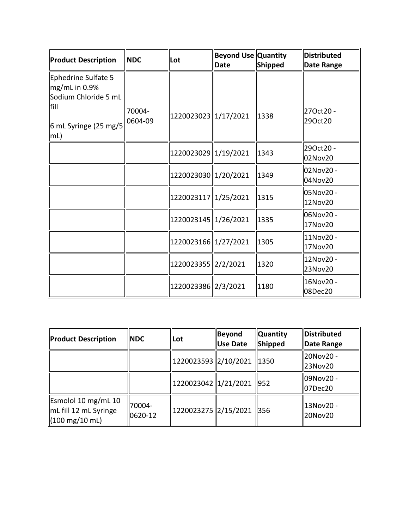| Product Description                                                                                              | <b>NDC</b>        | llLot                | <b>Beyond Use Quantity</b><br><b>Date</b> | Shipped | <b>Distributed</b><br><b>Date Range</b> |
|------------------------------------------------------------------------------------------------------------------|-------------------|----------------------|-------------------------------------------|---------|-----------------------------------------|
| Ephedrine Sulfate 5<br>$\log$ mL in 0.9%<br>Sodium Chloride 5 mL<br>fill<br>6 mL Syringe (25 mg/5<br>$\vert$ mL) | 70004-<br>0604-09 | 1220023023 1/17/2021 |                                           | 1338    | 270ct20 -<br>29Oct20                    |
|                                                                                                                  |                   | 1220023029 1/19/2021 |                                           | 1343    | 29Oct20 -<br>02Nov20                    |
|                                                                                                                  |                   | 1220023030 1/20/2021 |                                           | 1349    | 02Nov20 -<br>04Nov20                    |
|                                                                                                                  |                   | 1220023117 1/25/2021 |                                           | 1315    | 05Nov20 -<br>12Nov20                    |
|                                                                                                                  |                   | 1220023145 1/26/2021 |                                           | 1335    | 06Nov20 -<br>17Nov20                    |
|                                                                                                                  |                   | 1220023166 1/27/2021 |                                           | 1305    | 11Nov20 -<br>17Nov20                    |
|                                                                                                                  |                   | 1220023355 2/2/2021  |                                           | 1320    | 12Nov20 -<br>23Nov20                    |
|                                                                                                                  |                   | 1220023386 2/3/2021  |                                           | 1180    | 16Nov20 -<br>08Dec20                    |

| <b>Product Description</b>                                                            | <b>NDC</b>              | Lot                         | <b>Beyond</b><br><b>Use Date</b> | <b>Quantity</b><br>Shipped | Distributed<br>Date Range |
|---------------------------------------------------------------------------------------|-------------------------|-----------------------------|----------------------------------|----------------------------|---------------------------|
|                                                                                       |                         | 1220023593 2/10/2021        |                                  | 1350                       | 20Nov20 -<br>23Nov20      |
|                                                                                       |                         | 1220023042  1/21/2021   952 |                                  |                            | l09Nov20 -<br>  07Dec20   |
| Esmolol 10 mg/mL 10<br>$\ $ mL fill 12 mL Syringe<br>$(100 \text{ mg}/10 \text{ mL})$ | 70004-<br>$ 0620 - 12 $ | 1220023275 2/15/2021        |                                  | $\parallel$ 356            | 13Nov20 -<br>20Nov20      |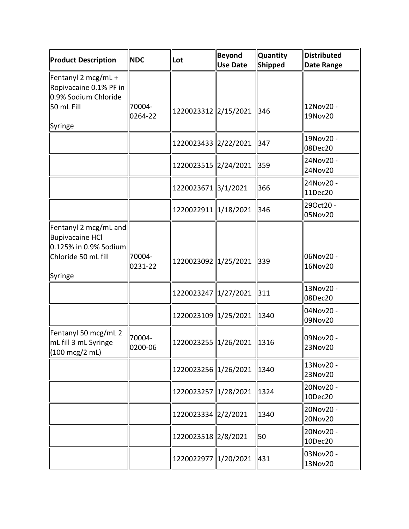| <b>Product Description</b>                                                                                 | <b>NDC</b>        | Lot                          | <b>Beyond</b><br><b>Use Date</b> | <b>Quantity</b><br><b>Shipped</b> | Distributed<br><b>Date Range</b> |
|------------------------------------------------------------------------------------------------------------|-------------------|------------------------------|----------------------------------|-----------------------------------|----------------------------------|
| Fentanyl 2 mcg/mL +<br>Ropivacaine 0.1% PF in<br>0.9% Sodium Chloride                                      |                   |                              |                                  |                                   |                                  |
| 50 mL Fill<br>Syringe                                                                                      | 70004-<br>0264-22 | 1220023312 2/15/2021         |                                  | 346                               | 12Nov20 -<br>19Nov20             |
|                                                                                                            |                   | 1220023433 2/22/2021         |                                  | 347                               | 19Nov20 -<br>08Dec20             |
|                                                                                                            |                   | 1220023515 2/24/2021         |                                  | 359                               | 24Nov20 -<br>24Nov20             |
|                                                                                                            |                   | 1220023671 3/1/2021          |                                  | 366                               | 24Nov20 -<br>11Dec20             |
|                                                                                                            |                   | 1220022911 1/18/2021         |                                  | 346                               | 29Oct20 -<br>05Nov20             |
| Fentanyl 2 mcg/mL and<br><b>Bupivacaine HCI</b><br>0.125% in 0.9% Sodium<br>Chloride 50 mL fill<br>Syringe | 70004-<br>0231-22 | 1220023092 1/25/2021         |                                  | 339                               | 06Nov20 -<br>16Nov20             |
|                                                                                                            |                   | 1220023247 1/27/2021         |                                  | 311                               | 13Nov20 -<br>08Dec20             |
|                                                                                                            |                   | 1220023109   1/25/2021       |                                  | 1340                              | 04Nov20 -<br>09Nov20             |
| Fentanyl 50 mcg/mL 2<br>mL fill 3 mL Syringe<br>$(100 \text{ mcg}/2 \text{ mL})$                           | 70004-<br>0200-06 | 1220023255  1/26/2021   1316 |                                  |                                   | 09Nov20 -<br>23Nov20             |
|                                                                                                            |                   | 1220023256 1/26/2021         |                                  | $\parallel$ 1340                  | 13Nov20 -<br>23Nov20             |
|                                                                                                            |                   | 1220023257 1/28/2021         |                                  | 1324                              | 20Nov20 -<br>10Dec20             |
|                                                                                                            |                   | 1220023334 2/2/2021          |                                  | 1340                              | 20Nov20 -<br>20Nov20             |
|                                                                                                            |                   | 1220023518 2/8/2021          |                                  | 50                                | 20Nov20 -<br>10Dec20             |
|                                                                                                            |                   | 1220022977 1/20/2021         |                                  | 431                               | 03Nov20 -<br>13Nov20             |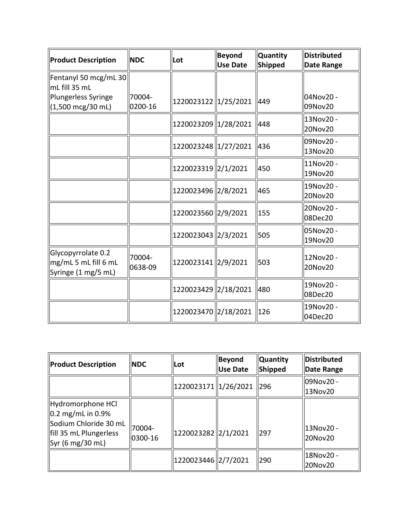| <b>Product Description</b>                                        | <b>NDC</b>        | Lot                  | <b>Beyond</b><br><b>Use Date</b> | <b>Quantity</b><br>Shipped | Distributed<br><b>Date Range</b> |
|-------------------------------------------------------------------|-------------------|----------------------|----------------------------------|----------------------------|----------------------------------|
| Fentanyl 50 mcg/mL 30<br>mL fill 35 mL                            |                   |                      |                                  |                            |                                  |
| <b>Plungerless Syringe</b><br>$(1,500 \text{ mcg}/30 \text{ mL})$ | 70004-<br>0200-16 | 1220023122 1/25/2021 |                                  | 449                        | 04Nov20 -<br>09Nov20             |
|                                                                   |                   | 1220023209 1/28/2021 |                                  | 448                        | 13Nov20 -<br>20Nov20             |
|                                                                   |                   | 1220023248 1/27/2021 |                                  | 436                        | 09Nov20 -<br>13Nov20             |
|                                                                   |                   | 1220023319 2/1/2021  |                                  | 450                        | 11Nov20 -<br>19Nov20             |
|                                                                   |                   | 1220023496 2/8/2021  |                                  | 465                        | 19Nov20 -<br>20Nov20             |
|                                                                   |                   | 1220023560 2/9/2021  |                                  | 155                        | 20Nov20 -<br>08Dec20             |
|                                                                   |                   | 1220023043 2/3/2021  |                                  | 505                        | 05Nov20 -<br>19Nov20             |
| Glycopyrrolate 0.2<br>mg/mL 5 mL fill 6 mL<br>Syringe (1 mg/5 mL) | 70004-<br>0638-09 | 1220023141 2/9/2021  |                                  | 503                        | 12Nov20 -<br>20Nov20             |
|                                                                   |                   | 1220023429 2/18/2021 |                                  | 480                        | 19Nov20 -<br>08Dec20             |
|                                                                   |                   | 1220023470 2/18/2021 |                                  | $\vert$ 126                | 19Nov20 -<br>04Dec20             |

| <b>Product Description</b>                                                                                    | <b>NDC</b>        | <b>ILot</b>           | <b>Beyond</b><br><b>Use Date</b> | <b>Quantity</b><br>Shipped | <b>Distributed</b><br>Date Range |
|---------------------------------------------------------------------------------------------------------------|-------------------|-----------------------|----------------------------------|----------------------------|----------------------------------|
|                                                                                                               |                   | 1220023171 1/26/2021  |                                  | 296                        | ll09Nov20 -<br>13Nov20           |
| Hydromorphone HCl<br>0.2 mg/mL in 0.9%<br>Sodium Chloride 30 mL<br>fill 35 mL Plungerless<br>Syr (6 mg/30 mL) | 70004-<br>0300-16 | 1220023282 2/1/2021   |                                  | 297                        | 13Nov20 -<br>20Nov20             |
|                                                                                                               |                   | 1220023446   2/7/2021 |                                  | 290                        | 18Nov20 -<br>20Nov20             |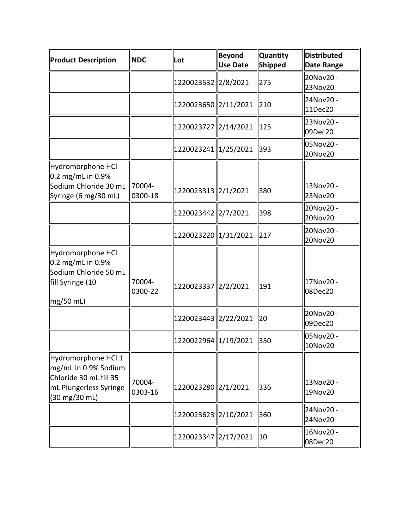| <b>Product Description</b>                                                                                       | <b>NDC</b>        | Lot                  | <b>Beyond</b><br><b>Use Date</b> | <b>Quantity</b><br>Shipped | Distributed<br><b>Date Range</b> |
|------------------------------------------------------------------------------------------------------------------|-------------------|----------------------|----------------------------------|----------------------------|----------------------------------|
|                                                                                                                  |                   | 1220023532 2/8/2021  |                                  | 275                        | 20Nov20 -<br>23Nov20             |
|                                                                                                                  |                   | 1220023650 2/11/2021 |                                  | 210                        | 24Nov20 -<br>11Dec20             |
|                                                                                                                  |                   | 1220023727 2/14/2021 |                                  | 125                        | 23Nov20 -<br>09Dec20             |
|                                                                                                                  |                   | 1220023241 1/25/2021 |                                  | 393                        | 05Nov20 -<br>20Nov20             |
| Hydromorphone HCl<br>$0.2 \text{ mg/mL}$ in 0.9%<br>Sodium Chloride 30 mL<br>Syringe (6 mg/30 mL)                | 70004-<br>0300-18 | 1220023313 2/1/2021  |                                  | 380                        | 13Nov20 -<br>23Nov20             |
|                                                                                                                  |                   | 1220023442 2/7/2021  |                                  | 398                        | 20Nov20 -<br>20Nov20             |
|                                                                                                                  |                   | 1220023220 1/31/2021 |                                  | 217                        | 20Nov20 -<br>20Nov20             |
| Hydromorphone HCl<br>0.2 mg/mL in 0.9%<br>Sodium Chloride 50 mL<br>fill Syringe (10<br>$mg/50$ mL)               | 70004-<br>0300-22 | 1220023337 2/2/2021  |                                  | 191                        | 17Nov20 -<br>08Dec20             |
|                                                                                                                  |                   | 1220023443 2/22/2021 |                                  | 20                         | 20Nov20 -<br>09Dec20             |
|                                                                                                                  |                   | 1220022964 1/19/2021 |                                  | 350                        | 05Nov20 -<br>10Nov20             |
| Hydromorphone HCl 1<br>mg/mL in 0.9% Sodium<br>Chloride 30 mL fill 35<br>mL Plungerless Syringe<br>(30 mg/30 mL) | 70004-<br>0303-16 | 1220023280 2/1/2021  |                                  | 336                        | 13Nov20 -<br>19Nov20             |
|                                                                                                                  |                   | 1220023623 2/10/2021 |                                  | 360                        | 24Nov20 -<br>24Nov20             |
|                                                                                                                  |                   | 1220023347 2/17/2021 |                                  | 10                         | 16Nov20 -<br>08Dec20             |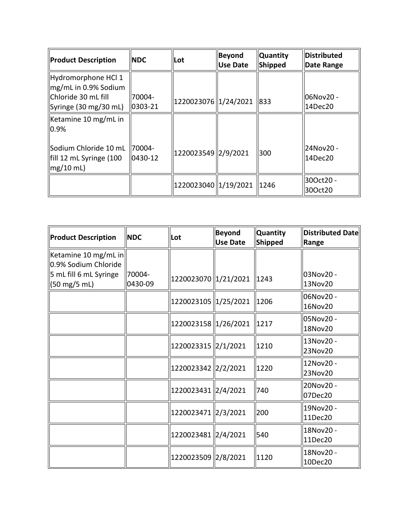| <b>Product Description</b>                                                                           | <b>NDC</b>                     | Lot                  | Beyond<br>Use Date | <b>Quantity</b><br>Shipped | <b>Distributed</b><br>Date Range |
|------------------------------------------------------------------------------------------------------|--------------------------------|----------------------|--------------------|----------------------------|----------------------------------|
| Hydromorphone HCl 1<br>mg/mL in 0.9% Sodium<br><b>l</b> Chloride 30 mL fill<br>Syringe (30 mg/30 mL) | 70004-<br>$ 0303 - 21$         | 1220023076 1/24/2021 |                    | $\parallel$ 833            | 06Nov20 -<br>14Dec20             |
| Ketamine 10 mg/mL in<br>0.9%                                                                         |                                |                      |                    |                            |                                  |
| Sodium Chloride 10 mL<br>fill 12 mL Syringe (100<br>$mg/10$ mL)                                      | <b>70004-</b><br>$ 0430 - 12 $ | 1220023549 2/9/2021  |                    | 300                        | 24Nov20 -<br>l14Dec20            |
|                                                                                                      |                                | 1220023040 1/19/2021 |                    | $\parallel$ 1246           | 30Oct20 -<br>30Oct20             |

| <b>Product Description</b>                   | <b>NDC</b>        | Lot                    | Beyond<br><b>Use Date</b> | Quantity<br><b>Shipped</b> | Distributed Date<br>Range |
|----------------------------------------------|-------------------|------------------------|---------------------------|----------------------------|---------------------------|
| Ketamine 10 mg/mL in<br>0.9% Sodium Chloride |                   |                        |                           |                            |                           |
| 5 mL fill 6 mL Syringe<br>(50 mg/5 mL)       | 70004-<br>0430-09 | 1220023070 1/21/2021   |                           | 1243                       | 03Nov20 -<br>13Nov20      |
|                                              |                   | 1220023105   1/25/2021 |                           | 1206                       | 06Nov20 -<br>16Nov20      |
|                                              |                   | 1220023158 1/26/2021   |                           | 1217                       | 05Nov20 -<br>ll18Nov20    |
|                                              |                   | 1220023315 2/1/2021    |                           | 1210                       | 13Nov20 -<br>23Nov20      |
|                                              |                   | 1220023342 2/2/2021    |                           | 1220                       | 12Nov20 -<br>23Nov20      |
|                                              |                   | 1220023431 2/4/2021    |                           | 740                        | 20Nov20 -<br>07Dec20      |
|                                              |                   | 1220023471 2/3/2021    |                           | 200                        | 19Nov20 -<br>11Dec20      |
|                                              |                   | 1220023481 2/4/2021    |                           | 540                        | 18Nov20 -<br>11Dec20      |
|                                              |                   | 1220023509 2/8/2021    |                           | 1120                       | 18Nov20 -<br>10Dec20      |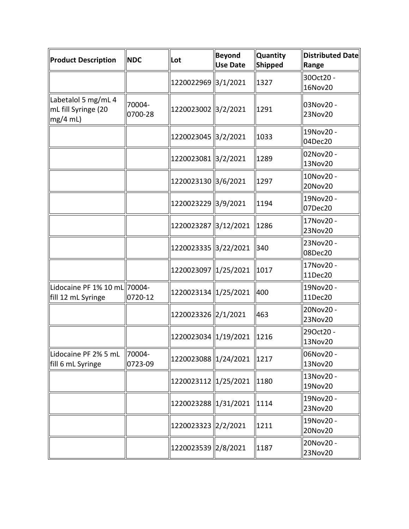| <b>Product Description</b>                               | <b>NDC</b>        | Lot                  | Beyond<br><b>Use Date</b> | Quantity<br>Shipped | <b>Distributed Date</b><br>Range |
|----------------------------------------------------------|-------------------|----------------------|---------------------------|---------------------|----------------------------------|
|                                                          |                   | 1220022969 3/1/2021  |                           | 1327                | 30Oct20 -<br>16Nov20             |
| Labetalol 5 mg/mL 4<br>mL fill Syringe (20<br>$mg/4$ mL) | 70004-<br>0700-28 | 1220023002 3/2/2021  |                           | 1291                | 03Nov20 -<br>23Nov20             |
|                                                          |                   | 1220023045 3/2/2021  |                           | 1033                | 19Nov20 -<br>04Dec20             |
|                                                          |                   | 1220023081 3/2/2021  |                           | 1289                | 02Nov20 -<br>13Nov20             |
|                                                          |                   | 1220023130 3/6/2021  |                           | 1297                | 10Nov20 -<br>20Nov20             |
|                                                          |                   | 1220023229 3/9/2021  |                           | 1194                | 19Nov20 -<br>07Dec20             |
|                                                          |                   | 1220023287 3/12/2021 |                           | 1286                | 17Nov20 -<br>23Nov20             |
|                                                          |                   | 1220023335 3/22/2021 |                           | 340                 | 23Nov20 -<br>08Dec20             |
|                                                          |                   | 1220023097 1/25/2021 |                           | 1017                | 17Nov20 -<br>11Dec20             |
| Lidocaine PF 1% 10 mL 70004-<br>fill 12 mL Syringe       | 0720-12           | 1220023134 1/25/2021 |                           | 400                 | 19Nov20 -<br>11Dec20             |
|                                                          |                   | 1220023326 2/1/2021  |                           | 463                 | 20Nov20 -<br>23Nov20             |
|                                                          |                   | 1220023034 1/19/2021 |                           | 1216                | 29Oct20 -<br>13Nov20             |
| Lidocaine PF 2% 5 mL<br>fill 6 mL Syringe                | 70004-<br>0723-09 | 1220023088 1/24/2021 |                           | 1217                | 06Nov20 -<br>13Nov20             |
|                                                          |                   | 1220023112 1/25/2021 |                           | 1180                | 13Nov20 -<br>19Nov20             |
|                                                          |                   | 1220023288 1/31/2021 |                           | 1114                | 19Nov20 -<br>23Nov20             |
|                                                          |                   | 1220023323 2/2/2021  |                           | 1211                | 19Nov20 -<br>20Nov20             |
|                                                          |                   | 1220023539 2/8/2021  |                           | 1187                | 20Nov20 -<br>23Nov20             |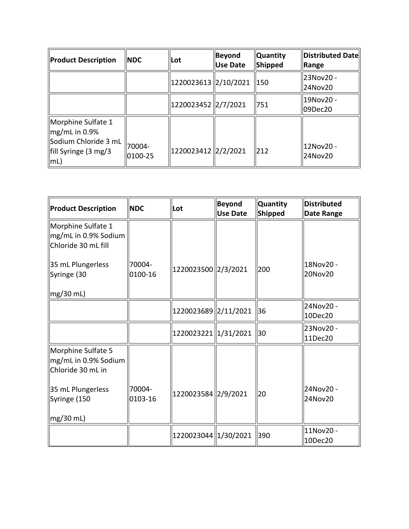| <b>Product Description</b>                                                                             | <b>NDC</b>              | <b>ILot</b>           | Beyond <br>Use Date | <b>Quantity</b><br><b>Shipped</b> | Distributed Date<br>Range |
|--------------------------------------------------------------------------------------------------------|-------------------------|-----------------------|---------------------|-----------------------------------|---------------------------|
|                                                                                                        |                         | 1220023613  2/10/2021 |                     | II <sub>50</sub>                  | 23Nov20 -<br>24Nov20      |
|                                                                                                        |                         | 1220023452  2/7/2021  |                     | 751                               | 19Nov20 -<br>09Dec20      |
| Morphine Sulfate 1<br>$\log/mL$ in 0.9%<br>Sodium Chloride 3 mL<br>fill Syringe (3 mg/3<br>$\vert$ mL) | 70004-<br>$ 0100 - 25 $ | 1220023412  2/2/2021  |                     | 212                               | 12Nov20 -<br>24Nov20      |

| <b>Product Description</b>                                        | <b>NDC</b>        | Lot                    | <b>Beyond</b><br><b>Use Date</b> | <b>Quantity</b><br>Shipped | <b>Distributed</b><br><b>Date Range</b> |
|-------------------------------------------------------------------|-------------------|------------------------|----------------------------------|----------------------------|-----------------------------------------|
| Morphine Sulfate 1<br>mg/mL in 0.9% Sodium<br>Chloride 30 mL fill |                   |                        |                                  |                            |                                         |
| 35 mL Plungerless<br>Syringe (30                                  | 70004-<br>0100-16 | 1220023500 2/3/2021    |                                  | 200                        | 18Nov20 -<br>20Nov20                    |
| $mg/30$ mL)                                                       |                   |                        |                                  |                            |                                         |
|                                                                   |                   | 1220023689 2/11/2021   |                                  | 36                         | 24Nov20 -<br>10Dec20                    |
|                                                                   |                   | 1220023221 1/31/2021   |                                  | 30                         | 23Nov20 -<br>11Dec20                    |
| Morphine Sulfate 5<br>mg/mL in 0.9% Sodium<br>Chloride 30 mL in   |                   |                        |                                  |                            |                                         |
| 35 mL Plungerless<br>Syringe (150                                 | 70004-<br>0103-16 | 1220023584 2/9/2021    |                                  | 20                         | 24Nov20 -<br>24Nov20                    |
| $mg/30$ mL)                                                       |                   |                        |                                  |                            |                                         |
|                                                                   |                   | 1220023044   1/30/2021 |                                  | 390                        | 11Nov20 -<br>10Dec20                    |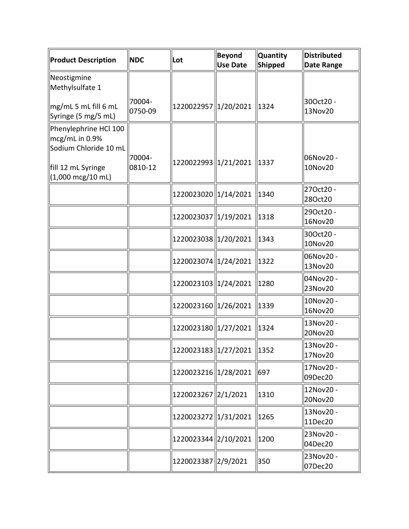| <b>Product Description</b>                                                                                                    | <b>NDC</b>        | Lot                  | <b>Beyond</b><br><b>Use Date</b> | <b>Quantity</b><br><b>Shipped</b> | Distributed<br>Date Range |
|-------------------------------------------------------------------------------------------------------------------------------|-------------------|----------------------|----------------------------------|-----------------------------------|---------------------------|
| Neostigmine<br>Methylsulfate 1<br>mg/mL 5 mL fill 6 mL                                                                        | 70004-            | 1220022957 1/20/2021 |                                  | 1324                              | 30Oct20 -                 |
| Syringe (5 mg/5 mL)                                                                                                           | 0750-09           |                      |                                  |                                   | 13Nov20                   |
| Phenylephrine HCl 100<br>mcg/mL in 0.9%<br>Sodium Chloride 10 mL<br>fill 12 mL Syringe<br>$(1,000 \text{ mcg}/10 \text{ mL})$ | 70004-<br>0810-12 | 1220022993 1/21/2021 |                                  | 1337                              | 06Nov20 -<br>10Nov20      |
|                                                                                                                               |                   | 1220023020 1/14/2021 |                                  | 1340                              | 27Oct20 -<br>28Oct20      |
|                                                                                                                               |                   | 1220023037 1/19/2021 |                                  | 1318                              | 29Oct20 -<br>16Nov20      |
|                                                                                                                               |                   | 1220023038 1/20/2021 |                                  | 1343                              | 30Oct20 -<br>10Nov20      |
|                                                                                                                               |                   | 1220023074 1/24/2021 |                                  | 1322                              | 06Nov20 -<br>13Nov20      |
|                                                                                                                               |                   | 1220023103 1/24/2021 |                                  | 1280                              | 04Nov20 -<br>23Nov20      |
|                                                                                                                               |                   | 1220023160 1/26/2021 |                                  | 1339                              | 10Nov20 -<br>16Nov20      |
|                                                                                                                               |                   | 1220023180 1/27/2021 |                                  | 1324                              | 13Nov20 -<br>20Nov20      |
|                                                                                                                               |                   | 1220023183 1/27/2021 |                                  | 1352                              | 13Nov20 -<br>17Nov20      |
|                                                                                                                               |                   | 1220023216 1/28/2021 |                                  | 697                               | 17Nov20 -<br>09Dec20      |
|                                                                                                                               |                   | 1220023267 2/1/2021  |                                  | 1310                              | 12Nov20 -<br>20Nov20      |
|                                                                                                                               |                   | 1220023272 1/31/2021 |                                  | 1265                              | 13Nov20 -<br>11Dec20      |
|                                                                                                                               |                   | 1220023344 2/10/2021 |                                  | 1200                              | 23Nov20 -<br>04Dec20      |
|                                                                                                                               |                   | 1220023387 2/9/2021  |                                  | 350                               | 23Nov20 -<br>07Dec20      |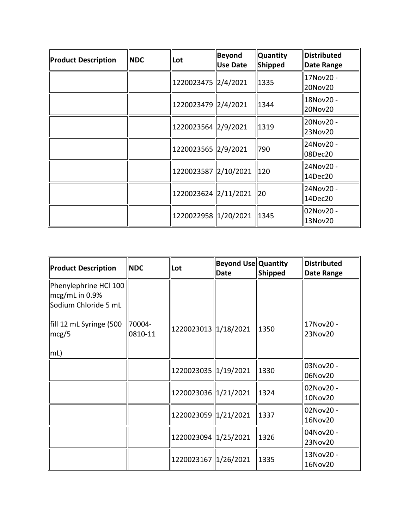| <b>Product Description</b> | <b>INDC</b> | Lot                  | <b>Beyond</b><br><b>Use Date</b> | <b>Quantity</b><br><b>Shipped</b> | <b>Distributed</b><br>Date Range |
|----------------------------|-------------|----------------------|----------------------------------|-----------------------------------|----------------------------------|
|                            |             | 1220023475 2/4/2021  |                                  | 1335                              | 17Nov20 -<br>20Nov20             |
|                            |             | 1220023479 2/4/2021  |                                  | 1344                              | 18Nov20 -<br>20Nov20             |
|                            |             | 1220023564 2/9/2021  |                                  | 1319                              | 20Nov20 -<br>23Nov20             |
|                            |             | 1220023565 2/9/2021  |                                  | 790                               | 24Nov20 -<br>08Dec20             |
|                            |             | 1220023587 2/10/2021 |                                  | 120                               | 24Nov20 -<br>14Dec20             |
|                            |             | 1220023624 2/11/2021 |                                  | 20                                | 24Nov20 -<br>14Dec20             |
|                            |             | 1220022958 1/20/2021 |                                  | 1345                              | 02Nov20 -<br>13Nov20             |

| Product Description                                                         | <b>NDC</b>        | Lot                  | <b>Beyond Use Quantity</b><br><b>Date</b> | Shipped | <b>Distributed</b><br>Date Range |
|-----------------------------------------------------------------------------|-------------------|----------------------|-------------------------------------------|---------|----------------------------------|
| Phenylephrine HCl 100<br>$\parallel$ mcg/mL in 0.9%<br>Sodium Chloride 5 mL |                   |                      |                                           |         |                                  |
| fill 12 mL Syringe (500<br>$\parallel$ mcg/5<br>$\vert \vert m \vert$       | 70004-<br>0810-11 | 1220023013 1/18/2021 |                                           | 1350    | 17Nov20 -<br>23Nov20             |
|                                                                             |                   | 1220023035 1/19/2021 |                                           | 1330    | 03Nov20 -<br>06Nov20             |
|                                                                             |                   | 1220023036 1/21/2021 |                                           | 1324    | 02Nov20 -<br>10Nov20             |
|                                                                             |                   | 1220023059 1/21/2021 |                                           | 1337    | 02Nov20 -<br>16Nov20             |
|                                                                             |                   | 1220023094 1/25/2021 |                                           | 1326    | 04Nov20 -<br>23Nov20             |
|                                                                             |                   | 1220023167 1/26/2021 |                                           | 1335    | 13Nov20 -<br>16Nov20             |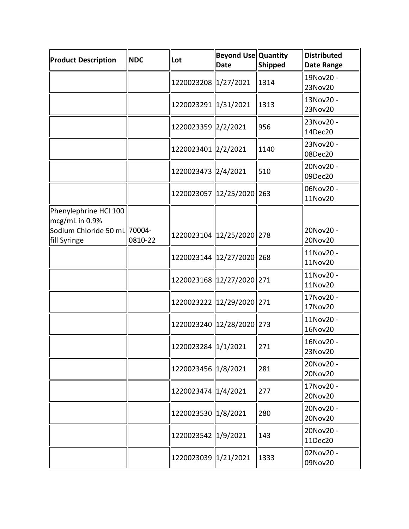| Product Description                                                                     | <b>NDC</b> | Lot                         | Beyond Use Quantity<br><b>Date</b> | Shipped | <b>Distributed</b><br>Date Range |
|-----------------------------------------------------------------------------------------|------------|-----------------------------|------------------------------------|---------|----------------------------------|
|                                                                                         |            | 1220023208 1/27/2021        |                                    | 1314    | 19Nov20 -<br>23Nov20             |
|                                                                                         |            | 1220023291 1/31/2021        |                                    | 1313    | 13Nov20 -<br>23Nov20             |
|                                                                                         |            | 1220023359 2/2/2021         |                                    | 956     | 23Nov20 -<br>14Dec20             |
|                                                                                         |            | 1220023401 2/2/2021         |                                    | 1140    | 23Nov20 -<br>08Dec20             |
|                                                                                         |            | 1220023473 2/4/2021         |                                    | 510     | 20Nov20 -<br>09Dec20             |
|                                                                                         |            | 1220023057 12/25/2020 263   |                                    |         | 06Nov20 -<br>11Nov20             |
| Phenylephrine HCl 100<br>mcg/mL in 0.9%<br>Sodium Chloride 50 mL 70004-<br>fill Syringe | 0810-22    | 1220023104 12/25/2020 278   |                                    |         | 20Nov20 -<br>20Nov20             |
|                                                                                         |            | 1220023144 2/27/2020 268    |                                    |         | 11Nov20 -<br>11Nov20             |
|                                                                                         |            | 1220023168 12/27/2020 271   |                                    |         | 11Nov20 -<br>11Nov20             |
|                                                                                         |            | 1220023222  12/29/2020  271 |                                    |         | 17Nov20 -<br>17Nov20             |
|                                                                                         |            | 1220023240 12/28/2020 273   |                                    |         | 11Nov20 -<br>16Nov20             |
|                                                                                         |            | 1220023284 1/1/2021         |                                    | 271     | 16Nov20 -<br>23Nov20             |
|                                                                                         |            | 1220023456 1/8/2021         |                                    | 281     | 20Nov20 -<br>20Nov20             |
|                                                                                         |            | 1220023474   1/4/2021       |                                    | 277     | 17Nov20 -<br>20Nov20             |
|                                                                                         |            | 1220023530 1/8/2021         |                                    | 280     | 20Nov20 -<br>20Nov20             |
|                                                                                         |            | 1220023542 1/9/2021         |                                    | 143     | 20Nov20 -<br>11Dec20             |
|                                                                                         |            | 1220023039 1/21/2021        |                                    | 1333    | 02Nov20 -<br>09Nov20             |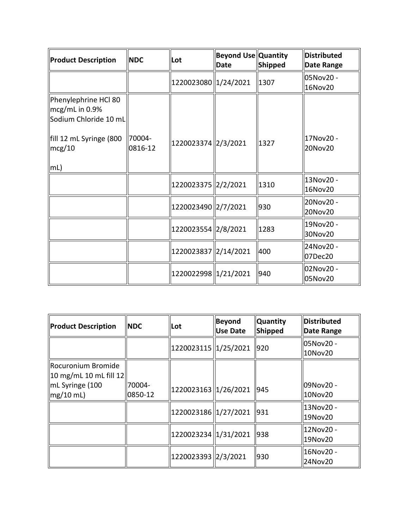| <b>Product Description</b>                                      | <b>NDC</b>        | Lot                  | <b>Beyond Use Quantity</b><br>Date | Shipped | Distributed<br>Date Range |
|-----------------------------------------------------------------|-------------------|----------------------|------------------------------------|---------|---------------------------|
|                                                                 |                   | 1220023080 1/24/2021 |                                    | 1307    | 05Nov20 -<br>16Nov20      |
| Phenylephrine HCl 80<br>mcg/mL in 0.9%<br>Sodium Chloride 10 mL |                   |                      |                                    |         |                           |
| fill 12 mL Syringe (800<br>mcg/10                               | 70004-<br>0816-12 | 1220023374 2/3/2021  |                                    | 1327    | 17Nov20 -<br>20Nov20      |
| mL)                                                             |                   |                      |                                    |         |                           |
|                                                                 |                   | 1220023375 2/2/2021  |                                    | 1310    | 13Nov20 -<br>16Nov20      |
|                                                                 |                   | 1220023490 2/7/2021  |                                    | 930     | 20Nov20 -<br>20Nov20      |
|                                                                 |                   | 1220023554 2/8/2021  |                                    | 1283    | 19Nov20 -<br>30Nov20      |
|                                                                 |                   | 1220023837 2/14/2021 |                                    | 400     | 24Nov20 -<br>07Dec20      |
|                                                                 |                   | 1220022998 1/21/2021 |                                    | 940     | 02Nov20 -<br>05Nov20      |

| <b>Product Description</b>                                           | <b>NDC</b>        | Lot                  | <b>Beyond</b><br><b>Use Date</b> | <b>Quantity</b><br><b>Shipped</b> | Distributed<br>Date Range |
|----------------------------------------------------------------------|-------------------|----------------------|----------------------------------|-----------------------------------|---------------------------|
|                                                                      |                   | 1220023115 1/25/2021 |                                  | 920                               | 05Nov20 -<br>10Nov20      |
| Rocuronium Bromide<br>$\parallel$ 10 mg/mL 10 mL fill 12 $\parallel$ |                   |                      |                                  |                                   |                           |
| mL Syringe (100<br>$mg/10$ mL)                                       | 70004-<br>0850-12 | 1220023163 1/26/2021 |                                  | 945                               | 09Nov20 -<br>10Nov20      |
|                                                                      |                   | 1220023186 1/27/2021 |                                  | 931                               | 13Nov20 -<br>19Nov20      |
|                                                                      |                   | 1220023234 1/31/2021 |                                  | 938                               | 12Nov20 -<br>19Nov20      |
|                                                                      |                   | 1220023393 2/3/2021  |                                  | 930                               | 16Nov20 -<br>24Nov20      |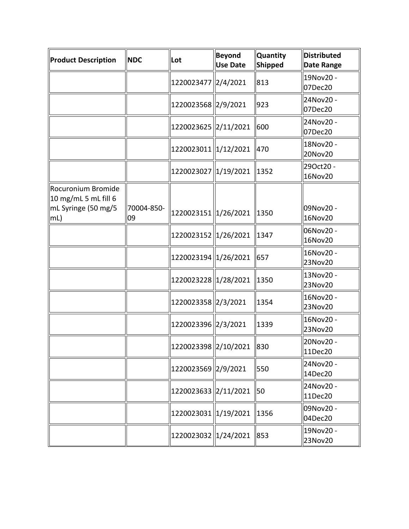| Product Description                                                         | <b>NDC</b>       | Lot                  | Beyond<br><b>Use Date</b> | <b>Quantity</b><br>Shipped | <b>Distributed</b><br><b>Date Range</b> |
|-----------------------------------------------------------------------------|------------------|----------------------|---------------------------|----------------------------|-----------------------------------------|
|                                                                             |                  | 1220023477 2/4/2021  |                           | 813                        | 19Nov20 -<br>07Dec20                    |
|                                                                             |                  | 1220023568 2/9/2021  |                           | 923                        | 24Nov20 -<br>07Dec20                    |
|                                                                             |                  | 1220023625 2/11/2021 |                           | 600                        | 24Nov20 -<br>07Dec20                    |
|                                                                             |                  | 1220023011 1/12/2021 |                           | 470                        | 18Nov20 -<br>20Nov20                    |
|                                                                             |                  | 1220023027 1/19/2021 |                           | 1352                       | 29Oct20 -<br>16Nov20                    |
| Rocuronium Bromide<br>$10$ mg/mL 5 mL fill 6<br>mL Syringe (50 mg/5<br> mL) | 70004-850-<br>09 | 1220023151 1/26/2021 |                           | 1350                       | 09Nov20 -<br>16Nov20                    |
|                                                                             |                  | 1220023152 1/26/2021 |                           | 1347                       | 06Nov20 -<br>16Nov20                    |
|                                                                             |                  | 1220023194 1/26/2021 |                           | 657                        | 16Nov20 -<br>23Nov20                    |
|                                                                             |                  | 1220023228 1/28/2021 |                           | 1350                       | 13Nov20 -<br>23Nov20                    |
|                                                                             |                  | 1220023358 2/3/2021  |                           | 1354                       | 16Nov20 -<br>23Nov20                    |
|                                                                             |                  | 1220023396 2/3/2021  |                           | 1339                       | 16Nov20 -<br>23Nov20                    |
|                                                                             |                  | 1220023398 2/10/2021 |                           | 830                        | 20Nov20 -<br>11Dec20                    |
|                                                                             |                  | 1220023569 2/9/2021  |                           | 550                        | 24Nov20 -<br>14Dec20                    |
|                                                                             |                  | 1220023633 2/11/2021 |                           | 50                         | 24Nov20 -<br>11Dec20                    |
|                                                                             |                  | 1220023031 1/19/2021 |                           | 1356                       | 09Nov20 -<br>04Dec20                    |
|                                                                             |                  | 1220023032 1/24/2021 |                           | 853                        | 19Nov20 -<br>23Nov20                    |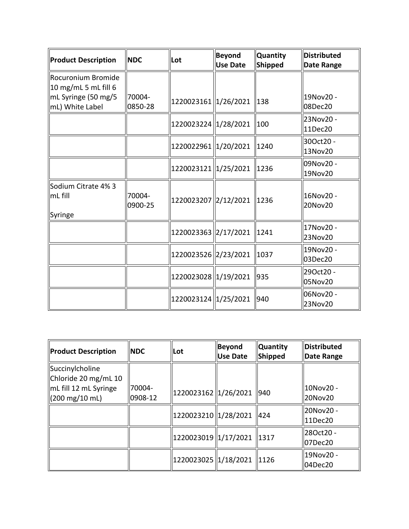| Product Description                          | <b>NDC</b>        | Lot                  | <b>Beyond</b><br><b>Use Date</b> | <b>Quantity</b><br>Shipped | <b>Distributed</b><br><b>Date Range</b> |
|----------------------------------------------|-------------------|----------------------|----------------------------------|----------------------------|-----------------------------------------|
| Rocuronium Bromide<br>$10$ mg/mL 5 mL fill 6 |                   |                      |                                  |                            |                                         |
| mL Syringe (50 mg/5<br>mL) White Label       | 70004-<br>0850-28 | 1220023161 1/26/2021 |                                  | $\vert$ 138                | 19Nov20 -<br>08Dec20                    |
|                                              |                   | 1220023224 1/28/2021 |                                  | 100                        | 23Nov20 -<br>11Dec20                    |
|                                              |                   | 1220022961 1/20/2021 |                                  | 1240                       | 30Oct20 -<br>13Nov20                    |
|                                              |                   | 1220023121 1/25/2021 |                                  | $\ 1236$                   | 09Nov20 -<br>19Nov20                    |
| Sodium Citrate 4% 3<br>mL fill<br>Syringe    | 70004-<br>0900-25 | 1220023207 2/12/2021 |                                  | $\ 1236$                   | 16Nov20 -<br>20Nov20                    |
|                                              |                   | 1220023363 2/17/2021 |                                  | 1241                       | 17Nov20 -<br>23Nov20                    |
|                                              |                   | 1220023526 2/23/2021 |                                  | 1037                       | 19Nov20 -<br>03Dec20                    |
|                                              |                   | 1220023028 1/19/2021 |                                  | 935                        | 29Oct20 -<br>05Nov20                    |
|                                              |                   | 1220023124 1/25/2021 |                                  | $ 940\rangle$              | 06Nov20 -<br>23Nov20                    |

| <b>Product Description</b>                                | <b>NDC</b>        | Lot                  | Beyond<br>Use Date | <b>Quantity</b><br>Shipped | <b>Distributed</b><br>∥Date Range |
|-----------------------------------------------------------|-------------------|----------------------|--------------------|----------------------------|-----------------------------------|
| Succinylcholine<br>Chloride 20 mg/mL 10                   |                   |                      |                    |                            |                                   |
| mL fill 12 mL Syringe<br>$(200 \text{ mg}/10 \text{ mL})$ | 70004-<br>0908-12 | 1220023162 1/26/2021 |                    | 940                        | ll10Nov20 -<br>20Nov20            |
|                                                           |                   | 1220023210 1/28/2021 |                    | 424                        | ll20Nov20 -<br>  11Dec20          |
|                                                           |                   | 1220023019 1/17/2021 |                    | $\parallel$ 1317           | ll28Oct20 -<br>07Dec20            |
|                                                           |                   | 1220023025 1/18/2021 |                    | 11126                      | 19Nov20 -<br>04Dec20              |